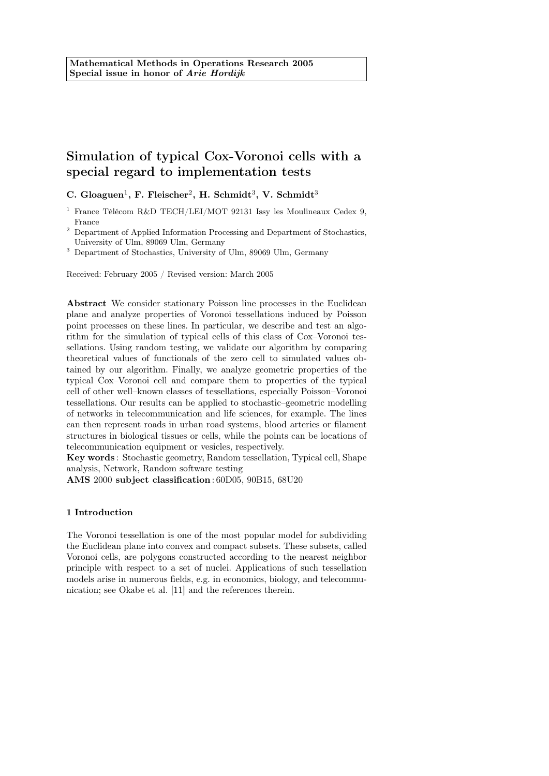# Simulation of typical Cox-Voronoi cells with a special regard to implementation tests

C. Gloaguen<sup>1</sup>, F. Fleischer<sup>2</sup>, H. Schmidt<sup>3</sup>, V. Schmidt<sup>3</sup>

<sup>1</sup> France Télécom R&D TECH/LEI/MOT 92131 Issy les Moulineaux Cedex 9, France

<sup>2</sup> Department of Applied Information Processing and Department of Stochastics, University of Ulm, 89069 Ulm, Germany

<sup>3</sup> Department of Stochastics, University of Ulm, 89069 Ulm, Germany

Received: February 2005 / Revised version: March 2005

Abstract We consider stationary Poisson line processes in the Euclidean plane and analyze properties of Voronoi tessellations induced by Poisson point processes on these lines. In particular, we describe and test an algorithm for the simulation of typical cells of this class of Cox–Voronoi tessellations. Using random testing, we validate our algorithm by comparing theoretical values of functionals of the zero cell to simulated values obtained by our algorithm. Finally, we analyze geometric properties of the typical Cox–Voronoi cell and compare them to properties of the typical cell of other well–known classes of tessellations, especially Poisson–Voronoi tessellations. Our results can be applied to stochastic–geometric modelling of networks in telecommunication and life sciences, for example. The lines can then represent roads in urban road systems, blood arteries or filament structures in biological tissues or cells, while the points can be locations of telecommunication equipment or vesicles, respectively.

Key words : Stochastic geometry, Random tessellation, Typical cell, Shape analysis, Network, Random software testing

AMS 2000 subject classification : 60D05, 90B15, 68U20

#### 1 Introduction

The Voronoi tessellation is one of the most popular model for subdividing the Euclidean plane into convex and compact subsets. These subsets, called Voronoi cells, are polygons constructed according to the nearest neighbor principle with respect to a set of nuclei. Applications of such tessellation models arise in numerous fields, e.g. in economics, biology, and telecommunication; see Okabe et al. [11] and the references therein.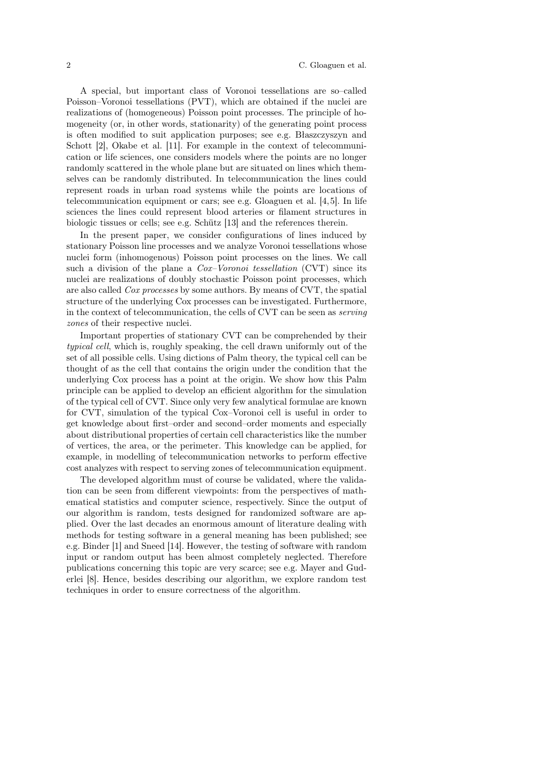A special, but important class of Voronoi tessellations are so–called Poisson–Voronoi tessellations (PVT), which are obtained if the nuclei are realizations of (homogeneous) Poisson point processes. The principle of homogeneity (or, in other words, stationarity) of the generating point process is often modified to suit application purposes; see e.g. Błaszczyszyn and Schott [2], Okabe et al. [11]. For example in the context of telecommunication or life sciences, one considers models where the points are no longer randomly scattered in the whole plane but are situated on lines which themselves can be randomly distributed. In telecommunication the lines could represent roads in urban road systems while the points are locations of telecommunication equipment or cars; see e.g. Gloaguen et al. [4, 5]. In life sciences the lines could represent blood arteries or filament structures in biologic tissues or cells; see e.g. Schütz [13] and the references therein.

In the present paper, we consider configurations of lines induced by stationary Poisson line processes and we analyze Voronoi tessellations whose nuclei form (inhomogenous) Poisson point processes on the lines. We call such a division of the plane a *Cox–Voronoi tessellation* (CVT) since its nuclei are realizations of doubly stochastic Poisson point processes, which are also called Cox processes by some authors. By means of CVT, the spatial structure of the underlying Cox processes can be investigated. Furthermore, in the context of telecommunication, the cells of CVT can be seen as serving zones of their respective nuclei.

Important properties of stationary CVT can be comprehended by their typical cell, which is, roughly speaking, the cell drawn uniformly out of the set of all possible cells. Using dictions of Palm theory, the typical cell can be thought of as the cell that contains the origin under the condition that the underlying Cox process has a point at the origin. We show how this Palm principle can be applied to develop an efficient algorithm for the simulation of the typical cell of CVT. Since only very few analytical formulae are known for CVT, simulation of the typical Cox–Voronoi cell is useful in order to get knowledge about first–order and second–order moments and especially about distributional properties of certain cell characteristics like the number of vertices, the area, or the perimeter. This knowledge can be applied, for example, in modelling of telecommunication networks to perform effective cost analyzes with respect to serving zones of telecommunication equipment.

The developed algorithm must of course be validated, where the validation can be seen from different viewpoints: from the perspectives of mathematical statistics and computer science, respectively. Since the output of our algorithm is random, tests designed for randomized software are applied. Over the last decades an enormous amount of literature dealing with methods for testing software in a general meaning has been published; see e.g. Binder [1] and Sneed [14]. However, the testing of software with random input or random output has been almost completely neglected. Therefore publications concerning this topic are very scarce; see e.g. Mayer and Guderlei [8]. Hence, besides describing our algorithm, we explore random test techniques in order to ensure correctness of the algorithm.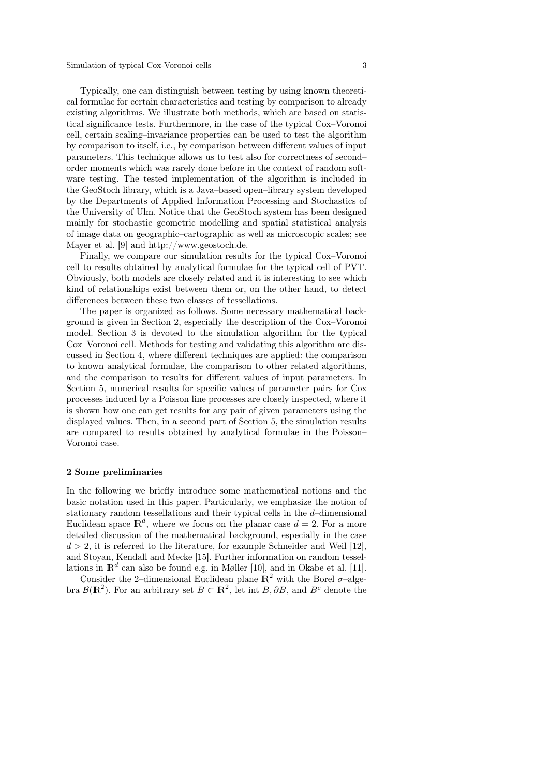Typically, one can distinguish between testing by using known theoretical formulae for certain characteristics and testing by comparison to already existing algorithms. We illustrate both methods, which are based on statistical significance tests. Furthermore, in the case of the typical Cox–Voronoi cell, certain scaling–invariance properties can be used to test the algorithm by comparison to itself, i.e., by comparison between different values of input parameters. This technique allows us to test also for correctness of second– order moments which was rarely done before in the context of random software testing. The tested implementation of the algorithm is included in the GeoStoch library, which is a Java–based open–library system developed by the Departments of Applied Information Processing and Stochastics of the University of Ulm. Notice that the GeoStoch system has been designed mainly for stochastic–geometric modelling and spatial statistical analysis of image data on geographic–cartographic as well as microscopic scales; see Mayer et al. [9] and http://www.geostoch.de.

Finally, we compare our simulation results for the typical Cox–Voronoi cell to results obtained by analytical formulae for the typical cell of PVT. Obviously, both models are closely related and it is interesting to see which kind of relationships exist between them or, on the other hand, to detect differences between these two classes of tessellations.

The paper is organized as follows. Some necessary mathematical background is given in Section 2, especially the description of the Cox–Voronoi model. Section 3 is devoted to the simulation algorithm for the typical Cox–Voronoi cell. Methods for testing and validating this algorithm are discussed in Section 4, where different techniques are applied: the comparison to known analytical formulae, the comparison to other related algorithms, and the comparison to results for different values of input parameters. In Section 5, numerical results for specific values of parameter pairs for Cox processes induced by a Poisson line processes are closely inspected, where it is shown how one can get results for any pair of given parameters using the displayed values. Then, in a second part of Section 5, the simulation results are compared to results obtained by analytical formulae in the Poisson– Voronoi case.

## 2 Some preliminaries

In the following we briefly introduce some mathematical notions and the basic notation used in this paper. Particularly, we emphasize the notion of stationary random tessellations and their typical cells in the  $d$ -dimensional Euclidean space  $\mathbb{R}^d$ , where we focus on the planar case  $d=2$ . For a more detailed discussion of the mathematical background, especially in the case  $d > 2$ , it is referred to the literature, for example Schneider and Weil [12], and Stoyan, Kendall and Mecke [15]. Further information on random tessellations in  $\mathbb{R}^d$  can also be found e.g. in Møller [10], and in Okabe et al. [11].

Consider the 2–dimensional Euclidean plane  $\mathbb{R}^2$  with the Borel  $\sigma$ –algebra  $\mathcal{B}(\mathbb{R}^2)$ . For an arbitrary set  $B \subset \mathbb{R}^2$ , let int  $B, \partial B$ , and  $B^c$  denote the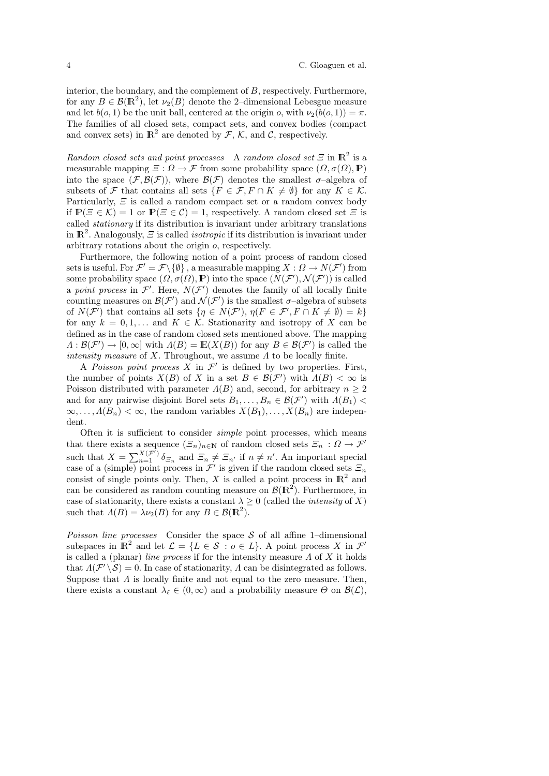interior, the boundary, and the complement of  $B$ , respectively. Furthermore, for any  $B \in \mathcal{B}(\mathbb{R}^2)$ , let  $\nu_2(B)$  denote the 2-dimensional Lebesgue measure and let  $b(o, 1)$  be the unit ball, centered at the origin o, with  $\nu_2(b(o, 1)) = \pi$ . The families of all closed sets, compact sets, and convex bodies (compact and convex sets) in  $\mathbb{R}^2$  are denoted by  $\mathcal{F}, \mathcal{K}$ , and  $\mathcal{C}$ , respectively.

Random closed sets and point processes A random closed set  $\Xi$  in  $\mathbb{R}^2$  is a measurable mapping  $\Xi : \Omega \to \mathcal{F}$  from some probability space  $(\Omega, \sigma(\Omega), \mathbb{P})$ into the space  $(\mathcal{F}, \mathcal{B}(\mathcal{F}))$ , where  $\mathcal{B}(\mathcal{F})$  denotes the smallest  $\sigma$ -algebra of subsets of F that contains all sets  $\{F \in \mathcal{F}, F \cap K \neq \emptyset\}$  for any  $K \in \mathcal{K}$ . Particularly,  $\Xi$  is called a random compact set or a random convex body if  $\mathbb{P}(\Xi \in \mathcal{K}) = 1$  or  $\mathbb{P}(\Xi \in \mathcal{C}) = 1$ , respectively. A random closed set  $\Xi$  is called stationary if its distribution is invariant under arbitrary translations in  $\mathbb{R}^2$ . Analogously,  $\Xi$  is called *isotropic* if its distribution is invariant under arbitrary rotations about the origin o, respectively.

Furthermore, the following notion of a point process of random closed sets is useful. For  $\mathcal{F}' = \mathcal{F} \setminus \{ \emptyset \}$ , a measurable mapping  $X : \Omega \to N(\mathcal{F}')$  from some probability space  $(\Omega, \sigma(\Omega), \mathbb{P})$  into the space  $(N(\mathcal{F}'), \mathcal{N}(\mathcal{F}'))$  is called a point process in  $\mathcal{F}'$ . Here,  $N(\mathcal{F}')$  denotes the family of all locally finite counting measures on  $\mathcal{B}(\mathcal{F}')$  and  $\mathcal{N}(\mathcal{F}')$  is the smallest  $\sigma$ -algebra of subsets of  $N(\mathcal{F}')$  that contains all sets  $\{\eta \in N(\mathcal{F}'), \eta(F \in \mathcal{F}', F \cap K \neq \emptyset) = k\}$ for any  $k = 0, 1, \ldots$  and  $K \in \mathcal{K}$ . Stationarity and isotropy of X can be defined as in the case of random closed sets mentioned above. The mapping  $\Lambda: \mathcal{B}(\mathcal{F}') \to [0, \infty]$  with  $\Lambda(B) = \mathbb{E}(X(B))$  for any  $B \in \mathcal{B}(\mathcal{F}')$  is called the intensity measure of X. Throughout, we assume  $\Lambda$  to be locally finite.

A Poisson point process X in  $\mathcal{F}'$  is defined by two properties. First, the number of points  $X(B)$  of X in a set  $B \in \mathcal{B}(\mathcal{F}')$  with  $\Lambda(B) < \infty$  is Poisson distributed with parameter  $\Lambda(B)$  and, second, for arbitrary  $n \geq 2$ and for any pairwise disjoint Borel sets  $B_1, \ldots, B_n \in \mathcal{B}(\mathcal{F}')$  with  $\Lambda(B_1)$  $\infty, \ldots, \Lambda(B_n) < \infty$ , the random variables  $X(B_1), \ldots, X(B_n)$  are independent.

Often it is sufficient to consider simple point processes, which means that there exists a sequence  $(\Xi_n)_{n\in\mathbb{N}}$  of random closed sets  $\Xi_n$ :  $\Omega \to \mathcal{F}'$ such that  $X = \sum_{n=1}^{X(\mathcal{F}')}\delta_{\Xi_n}$  and  $\Xi_n \neq \Xi_{n'}$  if  $n \neq n'$ . An important special case of a (simple) point process in  $\mathcal{F}'$  is given if the random closed sets  $\mathcal{E}_n$ consist of single points only. Then, X is called a point process in  $\mathbb{R}^2$  and can be considered as random counting measure on  $\mathcal{B}(\mathbb{R}^2)$ . Furthermore, in case of stationarity, there exists a constant  $\lambda \geq 0$  (called the *intensity* of X) such that  $\Lambda(B) = \lambda \nu_2(B)$  for any  $B \in \mathcal{B}(\mathbb{R}^2)$ .

Poisson line processes Consider the space  $S$  of all affine 1–dimensional subspaces in  $\mathbb{R}^2$  and let  $\mathcal{L} = \{L \in \mathcal{S} : \sigma \in L\}$ . A point process X in  $\mathcal{F}'$ is called a (planar) line process if for the intensity measure  $\Lambda$  of  $X$  it holds that  $\Lambda(\mathcal{F}'\setminus \mathcal{S}) = 0$ . In case of stationarity,  $\Lambda$  can be disintegrated as follows. Suppose that  $\Lambda$  is locally finite and not equal to the zero measure. Then, there exists a constant  $\lambda_\ell \in (0,\infty)$  and a probability measure  $\Theta$  on  $\mathcal{B}(\mathcal{L}),$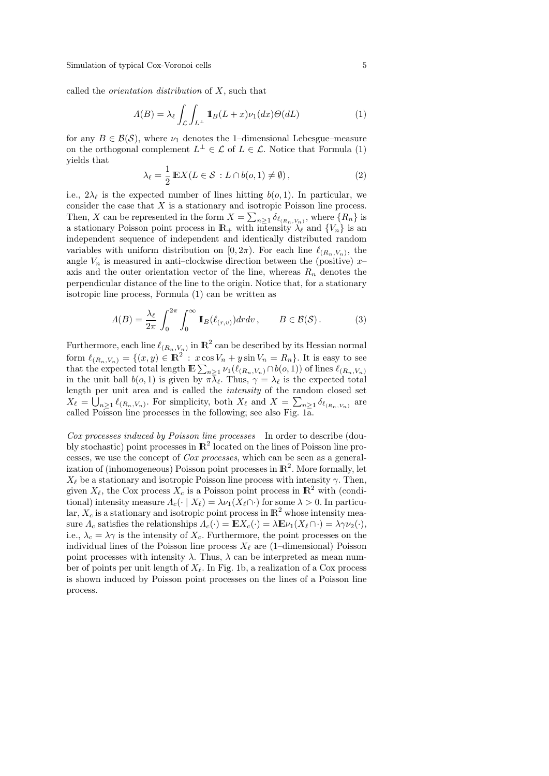called the orientation distribution of X, such that

$$
\Lambda(B) = \lambda_{\ell} \int_{\mathcal{L}} \int_{L^{\perp}} \mathbb{I}_{B}(L+x)\nu_{1}(dx)\Theta(dL) \tag{1}
$$

for any  $B \in \mathcal{B}(\mathcal{S})$ , where  $\nu_1$  denotes the 1-dimensional Lebesgue–measure on the orthogonal complement  $L^{\perp} \in \mathcal{L}$  of  $L \in \mathcal{L}$ . Notice that Formula (1) yields that

$$
\lambda_{\ell} = \frac{1}{2} \mathbb{E} X (L \in \mathcal{S} : L \cap b(o, 1) \neq \emptyset), \tag{2}
$$

i.e.,  $2\lambda_{\ell}$  is the expected number of lines hitting  $b(o, 1)$ . In particular, we consider the case that  $X$  is a stationary and isotropic Poisson line process. Then, X can be represented in the form  $X = \sum_{n\geq 1} \delta_{\ell_{(R_n,V_n)}}$ , where  $\{R_n\}$  is a stationary Poisson point process in  $\mathbb{R}_+$  with intensity  $\lambda_\ell$  and  $\{V_n\}$  is an independent sequence of independent and identically distributed random variables with uniform distribution on  $[0, 2\pi)$ . For each line  $\ell_{(R_n,V_n)}$ , the angle  $V_n$  is measured in anti-clockwise direction between the (positive) xaxis and the outer orientation vector of the line, whereas  $R_n$  denotes the perpendicular distance of the line to the origin. Notice that, for a stationary isotropic line process, Formula (1) can be written as

$$
\Lambda(B) = \frac{\lambda_{\ell}}{2\pi} \int_0^{2\pi} \int_0^{\infty} \mathbb{I}_B(\ell_{(r,v)}) dr dv, \qquad B \in \mathcal{B}(\mathcal{S}).
$$
 (3)

Furthermore, each line  $\ell_{(R_n,V_n)}$  in  $\mathbb{R}^2$  can be described by its Hessian normal form  $\ell_{(R_n,V_n)} = \{(x,y) \in \mathbb{R}^2 : x \cos V_n + y \sin V_n = R_n\}.$  It is easy to see that the expected total length  $\mathbb{E} \sum_{n\geq 1} \nu_1(\ell_{(R_n,V_n)} \cap b(o, 1))$  of lines  $\ell_{(R_n,V_n)}$ in the unit ball  $b(o, 1)$  is given by  $\overline{n\lambda_{\ell}}$ . Thus,  $\gamma = \lambda_{\ell}$  is the expected total length per unit area and is called the intensity of the random closed set  $X_{\ell} = \bigcup_{n\geq 1} \ell_{(R_n,V_n)}$ . For simplicity, both  $X_{\ell}$  and  $X = \sum_{n\geq 1} \delta_{\ell_{(R_n,V_n)}}$  are called Poisson line processes in the following; see also Fig.  $1a$ .

Cox processes induced by Poisson line processes In order to describe (doubly stochastic) point processes in  $\mathbb{R}^2$  located on the lines of Poisson line processes, we use the concept of Cox processes, which can be seen as a generalization of (inhomogeneous) Poisson point processes in  $\mathbb{R}^2$ . More formally, let  $X_{\ell}$  be a stationary and isotropic Poisson line process with intensity  $\gamma$ . Then, given  $X_{\ell}$ , the Cox process  $X_c$  is a Poisson point process in  $\mathbb{R}^2$  with (conditional) intensity measure  $\Lambda_c(\cdot \mid X_\ell) = \lambda \nu_1(X_\ell \cap \cdot)$  for some  $\lambda > 0$ . In particular,  $X_c$  is a stationary and isotropic point process in  $\mathbb{R}^2$  whose intensity measure  $\Lambda_c$  satisfies the relationships  $\Lambda_c(\cdot) = \mathbb{E} X_c(\cdot) = \lambda \mathbb{E} \nu_1(X_\ell \cap \cdot) = \lambda \gamma \nu_2(\cdot),$ i.e.,  $\lambda_c = \lambda \gamma$  is the intensity of  $X_c$ . Furthermore, the point processes on the individual lines of the Poisson line process  $X_\ell$  are (1–dimensional) Poisson point processes with intensity  $\lambda$ . Thus,  $\lambda$  can be interpreted as mean number of points per unit length of  $X_{\ell}$ . In Fig. 1b, a realization of a Cox process is shown induced by Poisson point processes on the lines of a Poisson line process.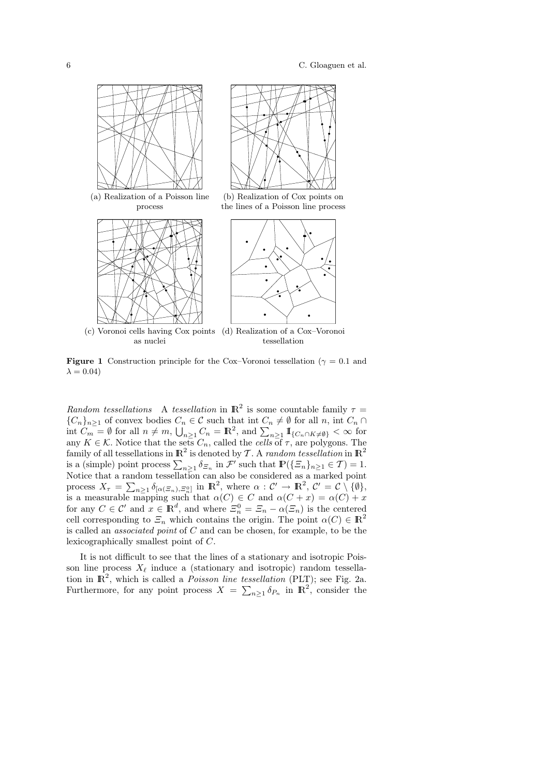

**Figure 1** Construction principle for the Cox–Voronoi tessellation ( $\gamma = 0.1$  and  $\lambda = 0.04$ 

Random tessellations A tessellation in  $\mathbb{R}^2$  is some countable family  $\tau =$  ${C_n}_{n\geq 1}$  of convex bodies  $C_n \in \mathcal{C}$  such that int  $C_n \neq \emptyset$  for all n, int  $C_n \cap$ int  $C_m = \emptyset$  for all  $n \neq m$ ,  $\bigcup_{n \geq 1} C_n = \mathbb{R}^2$ , and  $\sum_{n \geq 1} \mathbb{I}_{\{C_n \cap K \neq \emptyset\}} < \infty$  for any  $K \in \mathcal{K}$ . Notice that the sets  $C_n$ , called the cells of  $\tau$ , are polygons. The family of all tessellations in  $\mathbb{R}^2$  is denoted by T. A *random tessellation* in  $\mathbb{R}^2$ is a (simple) point process  $\sum_{n\geq 1} \delta_{\Xi_n}$  in  $\mathcal{F}'$  such that  $\mathbb{P}(\{\Xi_n\}_{n\geq 1} \in \mathcal{T}) = 1$ . Notice that a random tessellation can also be considered as a marked point process  $X_{\tau} = \sum_{n\geq 1} \delta_{\alpha(\Xi_n),\Xi_n^0}$  in  $\mathbb{R}^2$ , where  $\alpha: \mathcal{C}' \to \mathbb{R}^2$ ,  $\mathcal{C}' = \mathcal{C} \setminus \{\emptyset\},\$ is a measurable mapping such that  $\alpha(C) \in C$  and  $\alpha(C + x) = \alpha(C) + x$ for any  $C \in \mathcal{C}'$  and  $x \in \mathbb{R}^d$ , and where  $\Xi_n^0 = \Xi_n - \alpha(\Xi_n)$  is the centered cell corresponding to  $\mathcal{Z}_n$  which contains the origin. The point  $\alpha(C) \in \mathbb{R}^2$ is called an associated point of C and can be chosen, for example, to be the lexicographically smallest point of C.

It is not difficult to see that the lines of a stationary and isotropic Poisson line process  $X_{\ell}$  induce a (stationary and isotropic) random tessellation in  $\mathbb{R}^2$ , which is called a *Poisson line tessellation* (PLT); see Fig. 2a. Furthermore, for any point process  $X = \sum_{n\geq 1} \delta_{P_n}$  in  $\mathbb{R}^2$ , consider the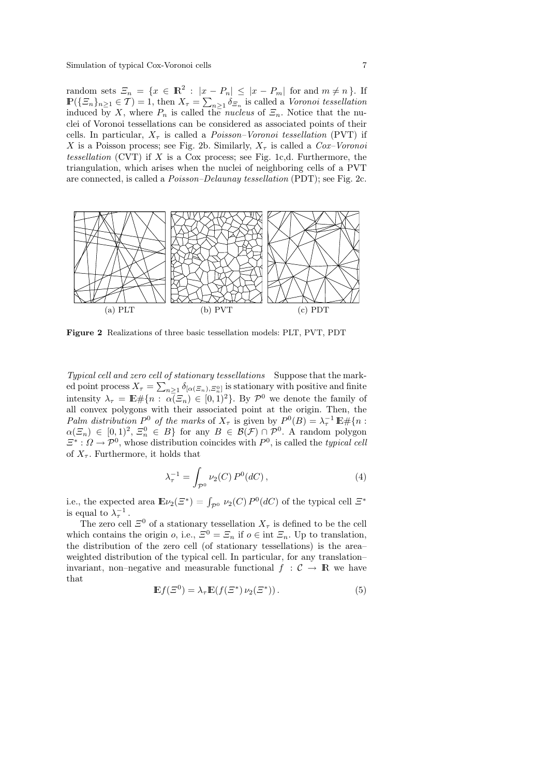random sets  $\mathcal{F}_n = \{x \in \mathbb{R}^2 : |x - P_n| \leq |x - P_m| \text{ for and } m \neq n\}.$  If  $\mathbb{P}(\{\Xi_n\}_{n\geq 1}\in \mathcal{T})=1$ , then  $X_{\tau}=\sum_{n\geq 1}\delta_{\Xi_n}$  is called a *Voronoi tessellation* induced by X, where  $P_n$  is called the *nucleus* of  $\mathcal{Z}_n$ . Notice that the nuclei of Voronoi tessellations can be considered as associated points of their cells. In particular,  $X_{\tau}$  is called a *Poisson–Voronoi tessellation* (PVT) if X is a Poisson process; see Fig. 2b. Similarly,  $X_{\tau}$  is called a  $Cox-Voronoi$ tessellation (CVT) if X is a Cox process; see Fig. 1c,d. Furthermore, the triangulation, which arises when the nuclei of neighboring cells of a PVT are connected, is called a Poisson–Delaunay tessellation (PDT); see Fig. 2c.



Figure 2 Realizations of three basic tessellation models: PLT, PVT, PDT

Typical cell and zero cell of stationary tessellations Suppose that the marked point process  $X_{\tau} = \sum_{n \geq 1} \delta_{[\alpha(\Xi_n), \Xi_n^0]}$  is stationary with positive and finite intensity  $\lambda_{\tau} = \mathbb{E} \# \{n : \alpha(\Xi_n) \in [0,1)^2\}$ . By  $\mathcal{P}^0$  we denote the family of all convex polygons with their associated point at the origin. Then, the Palm distribution  $P^0$  of the marks of  $X_\tau$  is given by  $P^0(B) = \lambda_\tau^{-1} \mathbb{E} \# \{n :$  $\alpha(\Xi_n) \in [0,1)^2$ ,  $\Xi_n^0 \in B$  for any  $B \in \mathcal{B}(\mathcal{F}) \cap \mathcal{P}^0$ . A random polygon  $\Xi^*: \Omega \to \mathcal{P}^0$ , whose distribution coincides with  $P^0$ , is called the *typical cell* of  $X_{\tau}$ . Furthermore, it holds that

$$
\lambda_{\tau}^{-1} = \int_{\mathcal{P}^0} \nu_2(C) \, P^0(dC) \,, \tag{4}
$$

i.e., the expected area  $\mathbb{E} \nu_2(\Xi^*) = \int_{\mathcal{P}^0} \nu_2(C) P^0(dC)$  of the typical cell  $\Xi^*$ is equal to  $\lambda_\tau^{-1}$ .

The zero cell  $\mathcal{Z}^0$  of a stationary tessellation  $X_\tau$  is defined to be the cell which contains the origin  $o$ , i.e.,  $\mathcal{Z}^0 = \mathcal{Z}_n$  if  $o \in \text{int } \mathcal{Z}_n$ . Up to translation, the distribution of the zero cell (of stationary tessellations) is the area– weighted distribution of the typical cell. In particular, for any translation– invariant, non–negative and measurable functional  $f : \mathcal{C} \to \mathbb{R}$  we have that

$$
\mathbb{E}f(\Xi^0) = \lambda_\tau \mathbb{E}(f(\Xi^*) \nu_2(\Xi^*))\,. \tag{5}
$$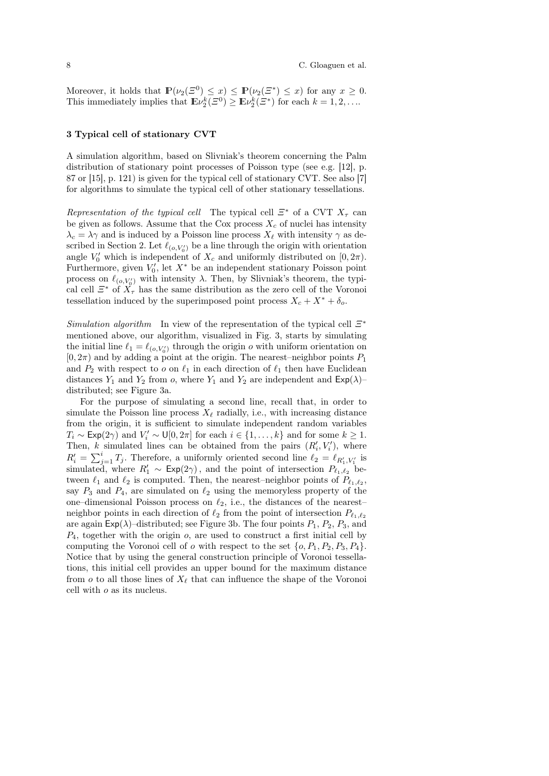Moreover, it holds that  $\mathbb{P}(\nu_2(\Xi^0) \leq x) \leq \mathbb{P}(\nu_2(\Xi^*) \leq x)$  for any  $x \geq 0$ . This immediately implies that  $\mathbb{E} \nu_2^k(\mathcal{Z}^0) \geq \mathbb{E} \nu_2^k(\mathcal{Z}^*)$  for each  $k = 1, 2, \dots$ 

#### 3 Typical cell of stationary CVT

A simulation algorithm, based on Slivniak's theorem concerning the Palm distribution of stationary point processes of Poisson type (see e.g. [12], p. 87 or [15], p. 121) is given for the typical cell of stationary CVT. See also [7] for algorithms to simulate the typical cell of other stationary tessellations.

Representation of the typical cell The typical cell  $\Xi^*$  of a CVT  $X_{\tau}$  can be given as follows. Assume that the Cox process  $X_c$  of nuclei has intensity  $\lambda_c = \lambda \gamma$  and is induced by a Poisson line process  $X_\ell$  with intensity  $\gamma$  as described in Section 2. Let  $\ell_{(o,V'_0)}$  be a line through the origin with orientation angle  $V_0'$  which is independent of  $X_c$  and uniformly distributed on  $[0, 2\pi)$ . Furthermore, given  $V'_0$ , let  $X^*$  be an independent stationary Poisson point process on  $\ell_{(o,V_0')}$  with intensity  $\lambda$ . Then, by Slivniak's theorem, the typical cell  $\Xi^*$  of  $X_\tau$  has the same distribution as the zero cell of the Voronoi tessellation induced by the superimposed point process  $X_c + X^* + \delta_o$ .

Simulation algorithm In view of the representation of the typical cell  $\Xi^*$ mentioned above, our algorithm, visualized in Fig. 3, starts by simulating the initial line  $\ell_1 = \ell_{(o,V_0')}$  through the origin o with uniform orientation on  $[0, 2\pi)$  and by adding a point at the origin. The nearest–neighbor points  $P_1$ and  $P_2$  with respect to o on  $\ell_1$  in each direction of  $\ell_1$  then have Euclidean distances  $Y_1$  and  $Y_2$  from o, where  $Y_1$  and  $Y_2$  are independent and  $Exp(\lambda)$ distributed; see Figure 3a.

For the purpose of simulating a second line, recall that, in order to simulate the Poisson line process  $X_{\ell}$  radially, i.e., with increasing distance from the origin, it is sufficient to simulate independent random variables  $T_i \sim \text{Exp}(2\gamma)$  and  $V'_i \sim \text{U}[0, 2\pi]$  for each  $i \in \{1, ..., k\}$  and for some  $k \geq 1$ . Then, k simulated lines can be obtained from the pairs  $(R'_i, V'_i)$ , where  $R'_i = \sum_{j=1}^i T_j$ . Therefore, a uniformly oriented second line  $\ell_2 = \ell_{R'_1, V'_1}$  is simulated, where  $R'_1 \sim \text{Exp}(2\gamma)$ , and the point of intersection  $P_{\ell_1,\ell_2}$  between  $\ell_1$  and  $\ell_2$  is computed. Then, the nearest–neighbor points of  $P_{\ell_1,\ell_2}$ , say  $P_3$  and  $P_4$ , are simulated on  $\ell_2$  using the memoryless property of the one–dimensional Poisson process on  $\ell_2$ , i.e., the distances of the nearest– neighbor points in each direction of  $\ell_2$  from the point of intersection  $P_{\ell_1,\ell_2}$ are again  $Exp(\lambda)$ –distributed; see Figure 3b. The four points  $P_1, P_2, P_3$ , and  $P_4$ , together with the origin  $o$ , are used to construct a first initial cell by computing the Voronoi cell of  $o$  with respect to the set  $\{o, P_1, P_2, P_3, P_4\}.$ Notice that by using the general construction principle of Voronoi tessellations, this initial cell provides an upper bound for the maximum distance from  $o$  to all those lines of  $X_\ell$  that can influence the shape of the Voronoi cell with o as its nucleus.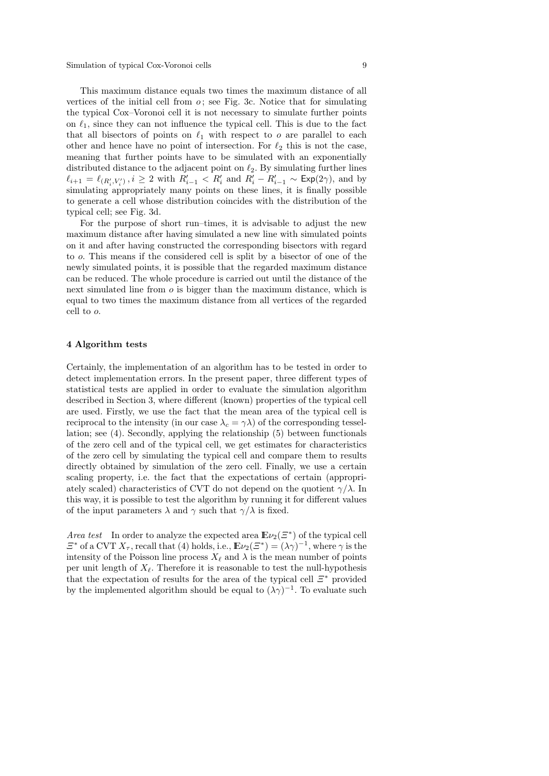Simulation of typical Cox-Voronoi cells 9

This maximum distance equals two times the maximum distance of all vertices of the initial cell from  $o$ ; see Fig. 3c. Notice that for simulating the typical Cox–Voronoi cell it is not necessary to simulate further points on  $\ell_1$ , since they can not influence the typical cell. This is due to the fact that all bisectors of points on  $\ell_1$  with respect to o are parallel to each other and hence have no point of intersection. For  $\ell_2$  this is not the case, meaning that further points have to be simulated with an exponentially distributed distance to the adjacent point on  $\ell_2$ . By simulating further lines  $\ell_{i+1} = \ell_{(R'_i, V'_i)}$ ,  $i \ge 2$  with  $R'_{i-1} < R'_i$  and  $R'_i - R'_{i-1} \sim \text{Exp}(2\gamma)$ , and by simulating appropriately many points on these lines, it is finally possible to generate a cell whose distribution coincides with the distribution of the typical cell; see Fig. 3d.

For the purpose of short run–times, it is advisable to adjust the new maximum distance after having simulated a new line with simulated points on it and after having constructed the corresponding bisectors with regard to o. This means if the considered cell is split by a bisector of one of the newly simulated points, it is possible that the regarded maximum distance can be reduced. The whole procedure is carried out until the distance of the next simulated line from  $\sigma$  is bigger than the maximum distance, which is equal to two times the maximum distance from all vertices of the regarded cell to o.

#### 4 Algorithm tests

Certainly, the implementation of an algorithm has to be tested in order to detect implementation errors. In the present paper, three different types of statistical tests are applied in order to evaluate the simulation algorithm described in Section 3, where different (known) properties of the typical cell are used. Firstly, we use the fact that the mean area of the typical cell is reciprocal to the intensity (in our case  $\lambda_c = \gamma \lambda$ ) of the corresponding tessellation; see (4). Secondly, applying the relationship (5) between functionals of the zero cell and of the typical cell, we get estimates for characteristics of the zero cell by simulating the typical cell and compare them to results directly obtained by simulation of the zero cell. Finally, we use a certain scaling property, i.e. the fact that the expectations of certain (appropriately scaled) characteristics of CVT do not depend on the quotient  $\gamma/\lambda$ . In this way, it is possible to test the algorithm by running it for different values of the input parameters  $\lambda$  and  $\gamma$  such that  $\gamma/\lambda$  is fixed.

Area test In order to analyze the expected area  $\mathbb{E}\nu_2(\Xi^*)$  of the typical cell  $\Xi^*$  of a CVT  $X_\tau$ , recall that (4) holds, i.e.,  $\mathbb{E}\nu_2(\Xi^*) = (\lambda \gamma)^{-1}$ , where  $\gamma$  is the intensity of the Poisson line process  $X_\ell$  and  $\lambda$  is the mean number of points per unit length of  $X_{\ell}$ . Therefore it is reasonable to test the null-hypothesis that the expectation of results for the area of the typical cell  $\mathcal{Z}^*$  provided by the implemented algorithm should be equal to  $(\lambda \gamma)^{-1}$ . To evaluate such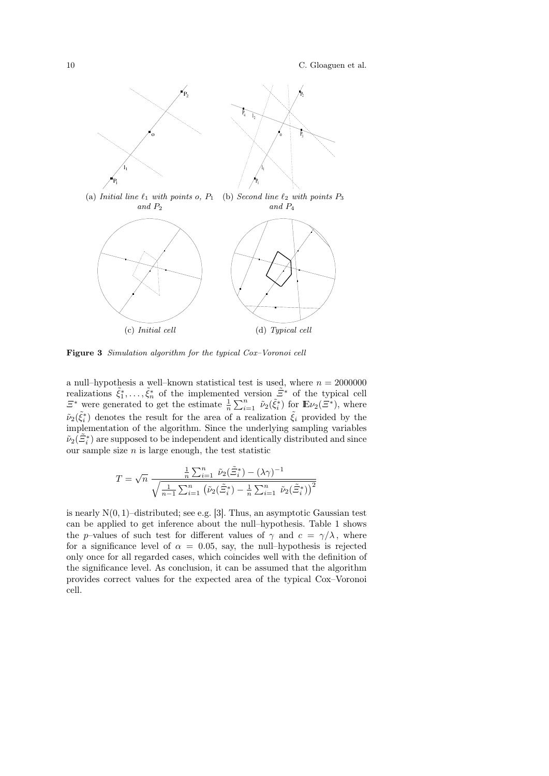10 C. Gloaguen et al.



Figure 3 Simulation algorithm for the typical Cox–Voronoi cell

a null–hypothesis a well–known statistical test is used, where  $n = 2000000$ realizations  $\tilde{\xi}_1^*, \ldots, \tilde{\xi}_n^*$  of the implemented version  $\tilde{\Xi}^*$  of the typical cell  $\Xi^*$  were generated to get the estimate  $\frac{1}{n}\sum_{i=1}^n \tilde{\nu}_2(\tilde{\xi}_i^*)$  for  $\mathbb{E}\nu_2(\tilde{\Xi}^*)$ , where  $\tilde{\nu}_2(\tilde{\xi}_i^*)$  denotes the result for the area of a realization  $\tilde{\xi}_i$  provided by the implementation of the algorithm. Since the underlying sampling variables  $\tilde{\nu}_2(\tilde{\Xi}^*_i)$  are supposed to be independent and identically distributed and since our sample size  $n$  is large enough, the test statistic

$$
T = \sqrt{n} \frac{\frac{1}{n} \sum_{i=1}^{n} \tilde{\nu}_2(\tilde{\Xi}_i^*) - (\lambda \gamma)^{-1}}{\sqrt{\frac{1}{n-1} \sum_{i=1}^{n} (\tilde{\nu}_2(\tilde{\Xi}_i^*) - \frac{1}{n} \sum_{i=1}^{n} \tilde{\nu}_2(\tilde{\Xi}_i^*))^2}}
$$

is nearly  $N(0, 1)$ –distributed; see e.g. [3]. Thus, an asymptotic Gaussian test can be applied to get inference about the null–hypothesis. Table 1 shows the p–values of such test for different values of  $\gamma$  and  $c = \gamma/\lambda$ , where for a significance level of  $\alpha = 0.05$ , say, the null-hypothesis is rejected only once for all regarded cases, which coincides well with the definition of the significance level. As conclusion, it can be assumed that the algorithm provides correct values for the expected area of the typical Cox–Voronoi cell.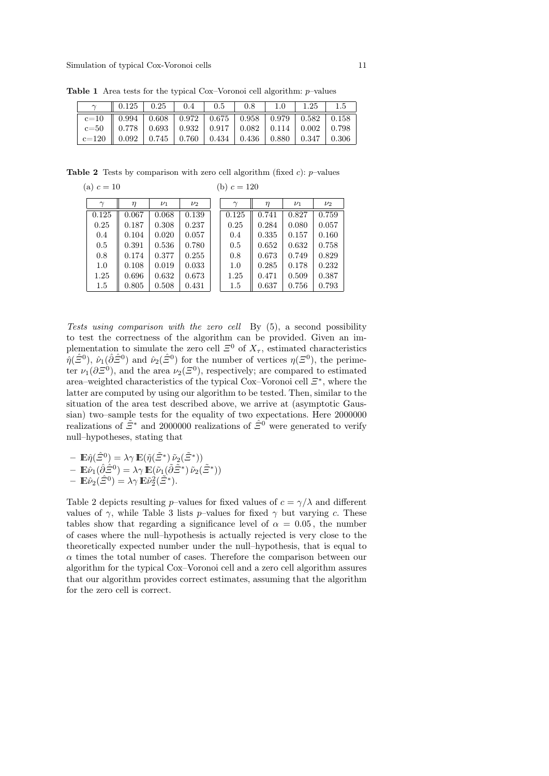| $\gamma$    0.125   0.25   0.4   0.5   0.8   1.0   1.25   1.5                                                                                        |  |  |  |  |
|------------------------------------------------------------------------------------------------------------------------------------------------------|--|--|--|--|
| $c=10$   0.994   0.608   0.972   0.675   0.958   0.979   0.582   0.158                                                                               |  |  |  |  |
| c=50 $\parallel$ 0.778 $\parallel$ 0.693 $\parallel$ 0.932 $\parallel$ 0.917 $\parallel$ 0.082 $\parallel$ 0.114 $\parallel$ 0.002 $\parallel$ 0.798 |  |  |  |  |
| $c=120$    0.092   0.745   0.760   0.434   0.436   0.880   0.347   0.306                                                                             |  |  |  |  |

**Table 1** Area tests for the typical Cox–Voronoi cell algorithm:  $p$ –values

**Table 2** Tests by comparison with zero cell algorithm (fixed c):  $p$ -values

(b) 
$$
c = 120
$$

| $\sim$  | $\eta$ | $\nu_1$ | $\nu_2$ | $\gamma$ | $\eta$ | $\nu_1$ | $\nu_2$ |
|---------|--------|---------|---------|----------|--------|---------|---------|
| 0.125   | 0.067  | 0.068   | 0.139   | 0.125    | 0.741  | 0.827   | 0.759   |
| 0.25    | 0.187  | 0.308   | 0.237   | 0.25     | 0.284  | 0.080   | 0.057   |
| 0.4     | 0.104  | 0.020   | 0.057   | 0.4      | 0.335  | 0.157   | 0.160   |
| 0.5     | 0.391  | 0.536   | 0.780   | 0.5      | 0.652  | 0.632   | 0.758   |
| 0.8     | 0.174  | 0.377   | 0.255   | 0.8      | 0.673  | 0.749   | 0.829   |
| 1.0     | 0.108  | 0.019   | 0.033   | 1.0      | 0.285  | 0.178   | 0.232   |
| 1.25    | 0.696  | 0.632   | 0.673   | 1.25     | 0.471  | 0.509   | 0.387   |
| $1.5\,$ | 0.805  | 0.508   | 0.431   | $1.5\,$  | 0.637  | 0.756   | 0.793   |

Tests using comparison with the zero cell By (5), a second possibility to test the correctness of the algorithm can be provided. Given an implementation to simulate the zero cell  $\mathcal{Z}^0$  of  $X_\tau$ , estimated characteristics  $\hat{\eta}(\hat{\Xi}^0)$ ,  $\hat{\nu}_1(\hat{\partial}\hat{\Xi}^0)$  and  $\hat{\nu}_2(\hat{\Xi}^0)$  for the number of vertices  $\eta(\Xi^0)$ , the perimeter  $\nu_1(\partial \mathcal{Z}^0)$ , and the area  $\nu_2(\mathcal{Z}^0)$ , respectively; are compared to estimated area–weighted characteristics of the typical Cox–Voronoi cell  $\Xi^*$ , where the latter are computed by using our algorithm to be tested. Then, similar to the situation of the area test described above, we arrive at (asymptotic Gaussian) two–sample tests for the equality of two expectations. Here 2000000 realizations of  $\tilde{\Xi}^*$  and 2000000 realizations of  $\hat{\Xi}^0$  were generated to verify null–hypotheses, stating that

 $- \mathbb{E} \hat{\eta}(\hat{\Xi}^0) = \lambda \gamma \mathbb{E}(\tilde{\eta}(\tilde{\Xi}^*) \tilde{\nu}_2(\tilde{\Xi}^*))$  $- \mathop{\mathrm{I\!E}}\hat{\nu}_1(\hat{\partial}\hat{\Xi}^0) = \lambda \gamma \mathop{\mathrm{I\!E}}(\tilde{\nu}_1(\tilde{\partial}\tilde{\Xi}^*) \tilde{\nu}_2(\tilde{\Xi}^*))$ 

$$
-\mathbf{E}\hat{\nu}_2(\hat{\Xi}^0) = \lambda \gamma \mathbf{E}\tilde{\nu}_2^2(\tilde{\Xi}^*).
$$

Table 2 depicts resulting p–values for fixed values of  $c = \gamma/\lambda$  and different values of  $\gamma$ , while Table 3 lists p–values for fixed  $\gamma$  but varying c. These tables show that regarding a significance level of  $\alpha = 0.05$ , the number of cases where the null–hypothesis is actually rejected is very close to the theoretically expected number under the null–hypothesis, that is equal to  $\alpha$  times the total number of cases. Therefore the comparison between our algorithm for the typical Cox–Voronoi cell and a zero cell algorithm assures that our algorithm provides correct estimates, assuming that the algorithm for the zero cell is correct.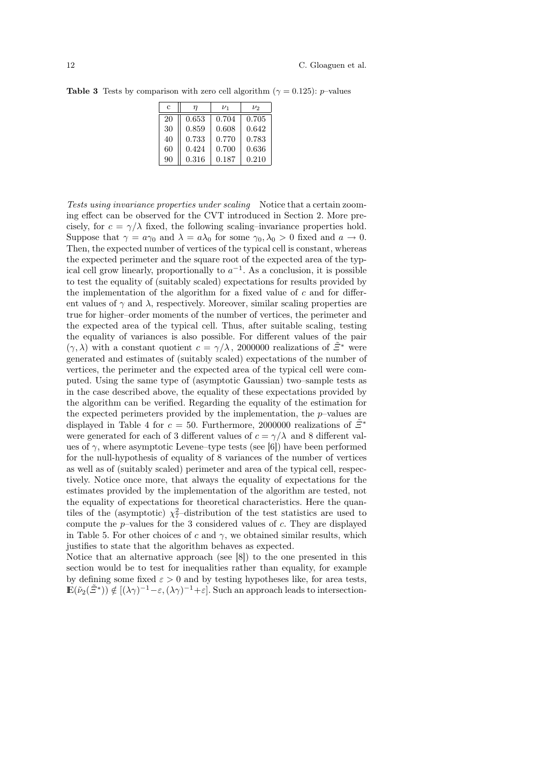|  |  |  |  | <b>Table 3</b> Tests by comparison with zero cell algorithm ( $\gamma = 0.125$ ): <i>p</i> -values |  |  |  |
|--|--|--|--|----------------------------------------------------------------------------------------------------|--|--|--|
|--|--|--|--|----------------------------------------------------------------------------------------------------|--|--|--|

| C  | $\eta$ | $\nu_1$ | $\nu_2$ |
|----|--------|---------|---------|
| 20 | 0.653  | 0.704   | 0.705   |
| 30 | 0.859  | 0.608   | 0.642   |
| 40 | 0.733  | 0.770   | 0.783   |
| 60 | 0.424  | 0.700   | 0.636   |
| 90 | 0.316  | 0.187   | 0.210   |

Tests using invariance properties under scaling Notice that a certain zooming effect can be observed for the CVT introduced in Section 2. More precisely, for  $c = \gamma/\lambda$  fixed, the following scaling–invariance properties hold. Suppose that  $\gamma = a\gamma_0$  and  $\lambda = a\lambda_0$  for some  $\gamma_0, \lambda_0 > 0$  fixed and  $a \to 0$ . Then, the expected number of vertices of the typical cell is constant, whereas the expected perimeter and the square root of the expected area of the typical cell grow linearly, proportionally to  $a^{-1}$ . As a conclusion, it is possible to test the equality of (suitably scaled) expectations for results provided by the implementation of the algorithm for a fixed value of  $c$  and for different values of  $\gamma$  and  $\lambda$ , respectively. Moreover, similar scaling properties are true for higher–order moments of the number of vertices, the perimeter and the expected area of the typical cell. Thus, after suitable scaling, testing the equality of variances is also possible. For different values of the pair  $(\gamma, \lambda)$  with a constant quotient  $c = \gamma/\lambda$ , 2000000 realizations of  $\tilde{\Xi}^*$  were generated and estimates of (suitably scaled) expectations of the number of vertices, the perimeter and the expected area of the typical cell were computed. Using the same type of (asymptotic Gaussian) two–sample tests as in the case described above, the equality of these expectations provided by the algorithm can be verified. Regarding the equality of the estimation for the expected perimeters provided by the implementation, the  $p$ -values are displayed in Table 4 for  $c = 50$ . Furthermore, 2000000 realizations of  $\tilde{\Xi}^*$ were generated for each of 3 different values of  $c = \gamma/\lambda$  and 8 different values ues of  $\gamma$ , where asymptotic Levene–type tests (see [6]) have been performed for the null-hypothesis of equality of 8 variances of the number of vertices as well as of (suitably scaled) perimeter and area of the typical cell, respectively. Notice once more, that always the equality of expectations for the estimates provided by the implementation of the algorithm are tested, not the equality of expectations for theoretical characteristics. Here the quantiles of the (asymptotic)  $\chi^2_7$ -distribution of the test statistics are used to compute the  $p$ -values for the 3 considered values of c. They are displayed in Table 5. For other choices of c and  $\gamma$ , we obtained similar results, which justifies to state that the algorithm behaves as expected.

Notice that an alternative approach (see [8]) to the one presented in this section would be to test for inequalities rather than equality, for example by defining some fixed  $\varepsilon > 0$  and by testing hypotheses like, for area tests,  $\mathbb{E}(\tilde{\nu}_2(\tilde{\Xi}^*)) \notin [(\lambda \gamma)^{-1} - \varepsilon, (\lambda \gamma)^{-1} + \varepsilon].$  Such an approach leads to intersection-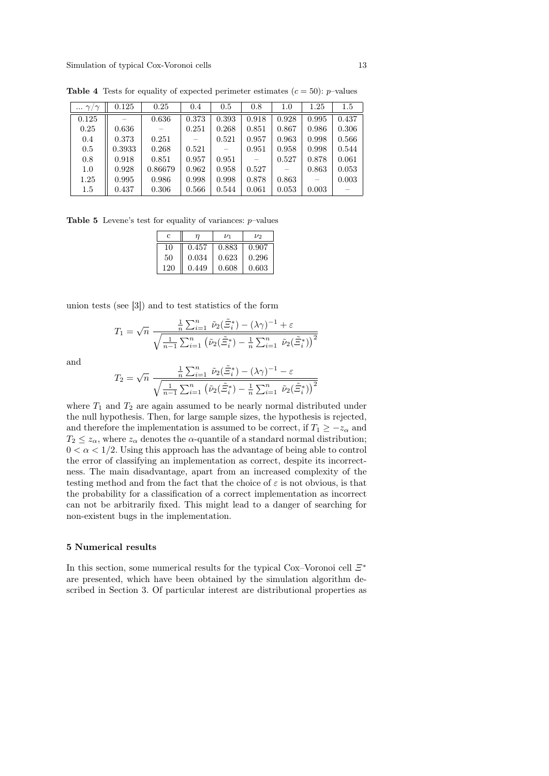| $\ldots \gamma/\gamma$ | 0.125  | 0.25    | 0.4   | 0.5   | 0.8   | 1.0   | 1.25  | 1.5   |
|------------------------|--------|---------|-------|-------|-------|-------|-------|-------|
| 0.125                  |        | 0.636   | 0.373 | 0.393 | 0.918 | 0.928 | 0.995 | 0.437 |
| 0.25                   | 0.636  |         | 0.251 | 0.268 | 0.851 | 0.867 | 0.986 | 0.306 |
| 0.4                    | 0.373  | 0.251   |       | 0.521 | 0.957 | 0.963 | 0.998 | 0.566 |
| 0.5                    | 0.3933 | 0.268   | 0.521 |       | 0.951 | 0.958 | 0.998 | 0.544 |
| 0.8                    | 0.918  | 0.851   | 0.957 | 0.951 |       | 0.527 | 0.878 | 0.061 |
| 1.0                    | 0.928  | 0.86679 | 0.962 | 0.958 | 0.527 |       | 0.863 | 0.053 |
| 1.25                   | 0.995  | 0.986   | 0.998 | 0.998 | 0.878 | 0.863 |       | 0.003 |
| 1.5                    | 0.437  | 0.306   | 0.566 | 0.544 | 0.061 | 0.053 | 0.003 |       |

**Table 4** Tests for equality of expected perimeter estimates  $(c = 50)$ : *p*–values

**Table 5** Levene's test for equality of variances:  $p$ -values

| с   |       | $\nu_1$ | $\nu_{2}$ |
|-----|-------|---------|-----------|
| 10  | 0.457 | 0.883   | 0.907     |
| 50  | 0.034 | 0.623   | 0.296     |
| 120 | 0.449 | 0.608   | 0.603     |

union tests (see [3]) and to test statistics of the form

$$
T_1 = \sqrt{n} \frac{\frac{1}{n} \sum_{i=1}^n \tilde{\nu}_2(\tilde{\Xi}_i^*) - (\lambda \gamma)^{-1} + \varepsilon}{\sqrt{\frac{1}{n-1} \sum_{i=1}^n (\tilde{\nu}_2(\tilde{\Xi}_i^*) - \frac{1}{n} \sum_{i=1}^n \tilde{\nu}_2(\tilde{\Xi}_i^*))^2}}
$$

and

$$
T_2 = \sqrt{n} \frac{\frac{1}{n} \sum_{i=1}^n \tilde{\nu}_2(\tilde{\Xi}_i^*) - (\lambda \gamma)^{-1} - \varepsilon}{\sqrt{\frac{1}{n-1} \sum_{i=1}^n (\tilde{\nu}_2(\tilde{\Xi}_i^*) - \frac{1}{n} \sum_{i=1}^n \tilde{\nu}_2(\tilde{\Xi}_i^*))^2}}
$$

where  $T_1$  and  $T_2$  are again assumed to be nearly normal distributed under the null hypothesis. Then, for large sample sizes, the hypothesis is rejected, and therefore the implementation is assumed to be correct, if  $T_1 \geq -z_\alpha$  and  $T_2 \leq z_{\alpha}$ , where  $z_{\alpha}$  denotes the  $\alpha$ -quantile of a standard normal distribution;  $0 < \alpha < 1/2$ . Using this approach has the advantage of being able to control the error of classifying an implementation as correct, despite its incorrectness. The main disadvantage, apart from an increased complexity of the testing method and from the fact that the choice of  $\varepsilon$  is not obvious, is that the probability for a classification of a correct implementation as incorrect can not be arbitrarily fixed. This might lead to a danger of searching for non-existent bugs in the implementation.

## 5 Numerical results

In this section, some numerical results for the typical Cox–Voronoi cell  $\mathcal{Z}^*$ are presented, which have been obtained by the simulation algorithm described in Section 3. Of particular interest are distributional properties as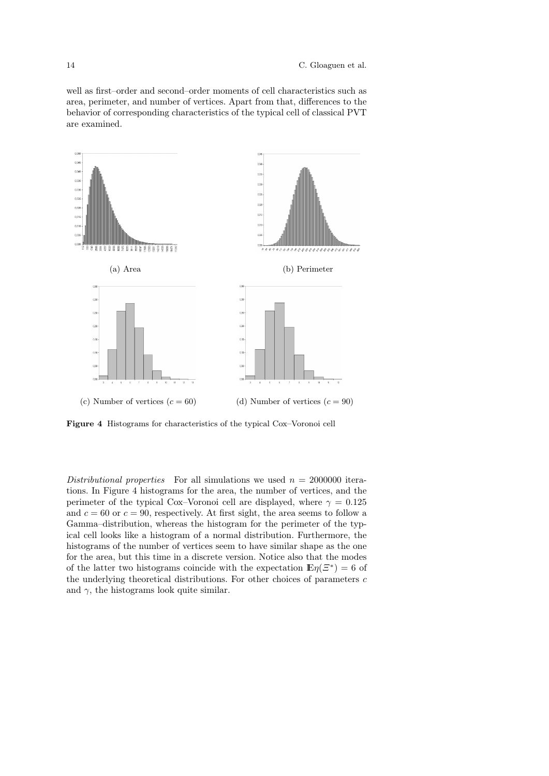well as first–order and second–order moments of cell characteristics such as area, perimeter, and number of vertices. Apart from that, differences to the behavior of corresponding characteristics of the typical cell of classical PVT are examined.



Figure 4 Histograms for characteristics of the typical Cox–Voronoi cell

Distributional properties For all simulations we used  $n = 2000000$  iterations. In Figure 4 histograms for the area, the number of vertices, and the perimeter of the typical Cox–Voronoi cell are displayed, where  $\gamma = 0.125$ and  $c = 60$  or  $c = 90$ , respectively. At first sight, the area seems to follow a Gamma–distribution, whereas the histogram for the perimeter of the typical cell looks like a histogram of a normal distribution. Furthermore, the histograms of the number of vertices seem to have similar shape as the one for the area, but this time in a discrete version. Notice also that the modes of the latter two histograms coincide with the expectation  $\mathbb{E} \eta(\mathcal{Z}^*) = 6$  of the underlying theoretical distributions. For other choices of parameters  $c$ and  $\gamma$ , the histograms look quite similar.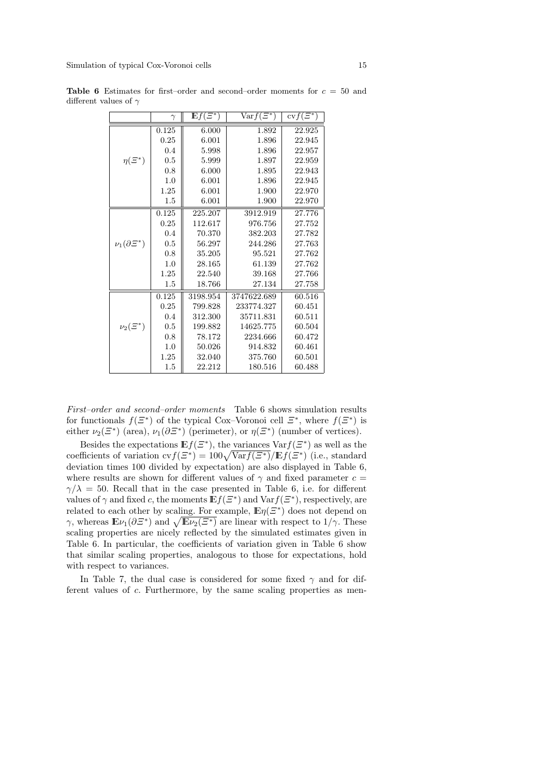|                         | $\gamma$ | $\mathbf{E}f(\Xi^*)$ | $\text{Var}f(\Xi^*)$ | $\operatorname{cvf}(\varXi^*)$ |
|-------------------------|----------|----------------------|----------------------|--------------------------------|
|                         | 0.125    | 6.000                | 1.892                | 22.925                         |
|                         | 0.25     | 6.001                | 1.896                | 22.945                         |
|                         | 0.4      | 5.998                | 1.896                | 22.957                         |
| $\eta(\Xi^*)$           | 0.5      | 5.999                | 1.897                | 22.959                         |
|                         | 0.8      | 6.000                | 1.895                | 22.943                         |
|                         | 1.0      | 6.001                | 1.896                | 22.945                         |
|                         | 1.25     | 6.001                | 1.900                | 22.970                         |
|                         | 1.5      | 6.001                | 1.900                | 22.970                         |
|                         | 0.125    | 225.207              | 3912.919             | 27.776                         |
|                         | 0.25     | 112.617              | 976.756              | 27.752                         |
|                         | 0.4      | 70.370               | 382.203              | 27.782                         |
| $\nu_1(\partial \Xi^*)$ | 0.5      | 56.297               | 244.286              | 27.763                         |
|                         | 0.8      | 35.205               | 95.521               | 27.762                         |
|                         | 1.0      | 28.165               | 61.139               | 27.762                         |
|                         | 1.25     | 22.540               | 39.168               | 27.766                         |
|                         | 1.5      | 18.766               | 27.134               | 27.758                         |
|                         | 0.125    | 3198.954             | 3747622.689          | 60.516                         |
|                         | 0.25     | 799.828              | 233774.327           | 60.451                         |
|                         | 0.4      | 312.300              | 35711.831            | 60.511                         |
| $\nu_2(\Xi^*)$          | 0.5      | 199.882              | 14625.775            | 60.504                         |
|                         | 0.8      | 78.172               | 2234.666             | 60.472                         |
|                         | 1.0      | 50.026               | 914.832              | 60.461                         |
|                         | 1.25     | 32.040               | 375.760              | 60.501                         |
|                         | 1.5      | 22.212               | 180.516              | 60.488                         |

Table 6 Estimates for first–order and second–order moments for  $c = 50$  and different values of  $\gamma$ 

First–order and second–order moments Table 6 shows simulation results for functionals  $f(\Xi^*)$  of the typical Cox–Voronoi cell  $\Xi^*$ , where  $f(\Xi^*)$  is either  $\nu_2(\Xi^*)$  (area),  $\nu_1(\partial \Xi^*)$  (perimeter), or  $\eta(\Xi^*)$  (number of vertices).

Besides the expectations  $\mathbb{E} f(\Xi^*)$ , the variances  $\text{Var} f(\Xi^*)$  as well as the coefficients of variation  $\mathrm{cv} f(E^*) = 100\sqrt{\mathrm{Var} f(E^*)}/\mathrm{E} f(E^*)$  (i.e., standard deviation times 100 divided by expectation) are also displayed in Table 6, where results are shown for different values of  $\gamma$  and fixed parameter  $c =$  $\gamma/\lambda = 50$ . Recall that in the case presented in Table 6, i.e. for different values of  $\gamma$  and fixed c, the moments  $\mathbb{E} f(\Xi^*)$  and  $\text{Var} f(\Xi^*)$ , respectively, are related to each other by scaling. For example,  $\mathbb{E}\eta(\mathcal{Z}^*)$  does not depend on  $\gamma$ , whereas  $\mathbb{E}\nu_1(\partial \Xi^*)$  and  $\sqrt{\mathbb{E}\nu_2(\Xi^*)}$  are linear with respect to 1/ $\gamma$ . These scaling properties are nicely reflected by the simulated estimates given in Table 6. In particular, the coefficients of variation given in Table 6 show that similar scaling properties, analogous to those for expectations, hold with respect to variances.

In Table 7, the dual case is considered for some fixed  $\gamma$  and for different values of c. Furthermore, by the same scaling properties as men-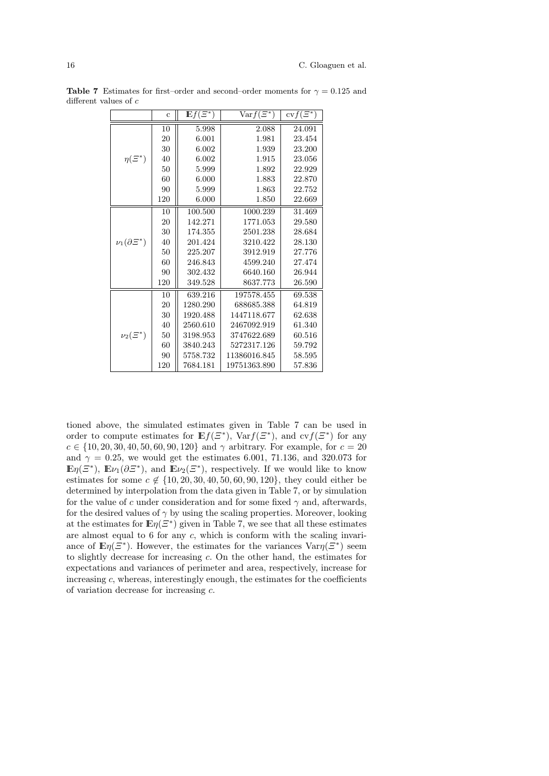|                         | $\ddot{c}$ | $\mathbf{E}f(\Xi^*)$ | $\text{Var}f(\Xi^*)$ | $\operatorname{cvf}(\Xi^*)$ |
|-------------------------|------------|----------------------|----------------------|-----------------------------|
|                         | 10         | 5.998                | 2.088                | 24.091                      |
|                         | 20         | 6.001                | 1.981                | 23.454                      |
|                         | 30         | 6.002                | 1.939                | 23.200                      |
| $\eta(\Xi^*)$           | 40         | 6.002                | 1.915                | 23.056                      |
|                         | 50         | 5.999                | 1.892                | 22.929                      |
|                         | 60         | 6.000                | 1.883                | 22.870                      |
|                         | 90         | 5.999                | 1.863                | 22.752                      |
|                         | 120        | 6.000                | 1.850                | 22.669                      |
|                         | 10         | 100.500              | 1000.239             | 31.469                      |
|                         | 20         | 142.271              | 1771.053             | 29.580                      |
|                         | 30         | 174.355              | 2501.238             | 28.684                      |
| $\nu_1(\partial \Xi^*)$ | 40         | 201.424              | 3210.422             | 28.130                      |
|                         | 50         | 225.207              | 3912.919             | 27.776                      |
|                         | 60         | 246.843              | 4599.240             | 27.474                      |
|                         | 90         | 302.432              | 6640.160             | 26.944                      |
|                         | 120        | 349.528              | 8637.773             | 26.590                      |
|                         | 10         | 639.216              | 197578.455           | 69.538                      |
|                         | 20         | 1280.290             | 688685.388           | 64.819                      |
|                         | 30         | 1920.488             | 1447118.677          | 62.638                      |
|                         | 40         | 2560.610             | 2467092.919          | 61.340                      |
| $\nu_2(\varXi^*)$       | 50         | 3198.953             | 3747622.689          | 60.516                      |
|                         | 60         | 3840.243             | 5272317.126          | 59.792                      |
|                         | 90         | 5758.732             | 11386016.845         | 58.595                      |
|                         | 120        | 7684.181             | 19751363.890         | 57.836                      |

**Table 7** Estimates for first–order and second–order moments for  $\gamma = 0.125$  and different values of c

tioned above, the simulated estimates given in Table 7 can be used in order to compute estimates for  $E f(\mathcal{Z}^*)$ ,  $Var f(\mathcal{Z}^*)$ , and  $\text{cv} f(\mathcal{Z}^*)$  for any  $c \in \{10, 20, 30, 40, 50, 60, 90, 120\}$  and  $\gamma$  arbitrary. For example, for  $c = 20$ and  $\gamma = 0.25$ , we would get the estimates 6.001, 71.136, and 320.073 for  $\mathbb{E}\eta(\Xi^*)$ ,  $\mathbb{E}\nu_1(\partial\Xi^*)$ , and  $\mathbb{E}\nu_2(\Xi^*)$ , respectively. If we would like to know estimates for some  $c \notin \{10, 20, 30, 40, 50, 60, 90, 120\}$ , they could either be determined by interpolation from the data given in Table 7, or by simulation for the value of c under consideration and for some fixed  $\gamma$  and, afterwards, for the desired values of  $\gamma$  by using the scaling properties. Moreover, looking at the estimates for  $\mathbb{E}\eta(\mathcal{Z}^*)$  given in Table 7, we see that all these estimates are almost equal to 6 for any c, which is conform with the scaling invariance of  $\mathbb{E}\eta(\mathcal{Z}^*)$ . However, the estimates for the variances  $\text{Var}\eta(\mathcal{Z}^*)$  seem to slightly decrease for increasing c. On the other hand, the estimates for expectations and variances of perimeter and area, respectively, increase for increasing  $c$ , whereas, interestingly enough, the estimates for the coefficients of variation decrease for increasing c.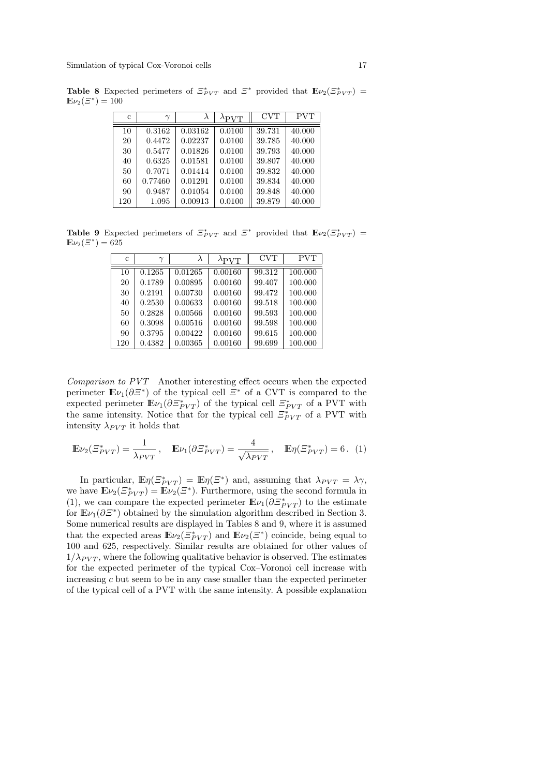Simulation of typical Cox-Voronoi cells 17

Table 8 Expected perimeters of  $\mathcal{Z}_{PVT}^*$  and  $\mathcal{Z}^*$  provided that  $\mathbb{E}\nu_2(\mathcal{Z}_{PVT}^*)$  $E\nu_2(\Xi^*) = 100$ 

| с   | $\gamma$ | $\lambda$ | $\lambda$ pvt | <b>CVT</b> | <b>PVT</b> |
|-----|----------|-----------|---------------|------------|------------|
| 10  | 0.3162   | 0.03162   | 0.0100        | 39.731     | 40.000     |
| 20  | 0.4472   | 0.02237   | 0.0100        | 39.785     | 40.000     |
| 30  | 0.5477   | 0.01826   | 0.0100        | 39.793     | 40.000     |
| 40  | 0.6325   | 0.01581   | 0.0100        | 39.807     | 40.000     |
| 50  | 0.7071   | 0.01414   | 0.0100        | 39.832     | 40.000     |
| 60  | 0.77460  | 0.01291   | 0.0100        | 39.834     | 40.000     |
| 90  | 0.9487   | 0.01054   | 0.0100        | 39.848     | 40.000     |
| 120 | 1.095    | 0.00913   | 0.0100        | 39.879     | 40.000     |

Table 9 Expected perimeters of  $\mathcal{Z}_{PVT}^*$  and  $\mathcal{Z}^*$  provided that  $\mathbb{E}\nu_2(\mathcal{Z}_{PVT}^*)$  $E\nu_2(\Xi^*) = 625$ 

| $\mathbf{c}$ | $\gamma$ |         | $\lambda$ pvt | <b>CVT</b> | <b>PVT</b> |
|--------------|----------|---------|---------------|------------|------------|
| 10           | 0.1265   | 0.01265 | 0.00160       | 99.312     | 100.000    |
| 20           | 0.1789   | 0.00895 | 0.00160       | 99.407     | 100.000    |
| 30           | 0.2191   | 0.00730 | 0.00160       | 99.472     | 100.000    |
| 40           | 0.2530   | 0.00633 | 0.00160       | 99.518     | 100.000    |
| 50           | 0.2828   | 0.00566 | 0.00160       | 99.593     | 100.000    |
| 60           | 0.3098   | 0.00516 | 0.00160       | 99.598     | 100.000    |
| 90           | 0.3795   | 0.00422 | 0.00160       | 99.615     | 100.000    |
| 120          | 0.4382   | 0.00365 | 0.00160       | 99.699     | 100.000    |

Comparison to PVT Another interesting effect occurs when the expected perimeter  $\mathbb{E}\nu_1(\partial \Xi^*)$  of the typical cell  $\Xi^*$  of a CVT is compared to the expected perimeter  $\mathbb{E}\nu_1(\partial \Xi_{PVT}^*)$  of the typical cell  $\Xi_{PVT}^*$  of a PVT with the same intensity. Notice that for the typical cell  $\mathcal{Z}_{PVT}^*$  of a PVT with intensity  $\lambda_{PVT}$  it holds that

$$
\mathbb{E}\nu_2(\varXi_{PVT}^*) = \frac{1}{\lambda_{PVT}}, \quad \mathbb{E}\nu_1(\partial\varXi_{PVT}^*) = \frac{4}{\sqrt{\lambda_{PVT}}}, \quad \mathbb{E}\eta(\varXi_{PVT}^*) = 6. \tag{1}
$$

In particular,  $\mathbb{E}\eta(\mathcal{Z}_{PVT}^*) = \mathbb{E}\eta(\mathcal{Z}^*)$  and, assuming that  $\lambda_{PVT} = \lambda \gamma$ , we have  $\mathbb{E}\nu_2(\mathcal{Z}_{PVT}^*) = \mathbb{E}\nu_2(\mathcal{Z}^*)$ . Furthermore, using the second formula in (1), we can compare the expected perimeter  $\mathbb{E}\nu_1(\partial \mathcal{Z}_{PVT}^*)$  to the estimate for  $\mathbb{E}\nu_1(\partial \Xi^*)$  obtained by the simulation algorithm described in Section 3. Some numerical results are displayed in Tables 8 and 9, where it is assumed that the expected areas  $\mathbb{E}\nu_2(\mathcal{Z}_{PVT}^*)$  and  $\mathbb{E}\nu_2(\mathcal{Z}^*)$  coincide, being equal to 100 and 625, respectively. Similar results are obtained for other values of  $1/\lambda_{PVT}$ , where the following qualitative behavior is observed. The estimates for the expected perimeter of the typical Cox–Voronoi cell increase with increasing  $c$  but seem to be in any case smaller than the expected perimeter of the typical cell of a PVT with the same intensity. A possible explanation